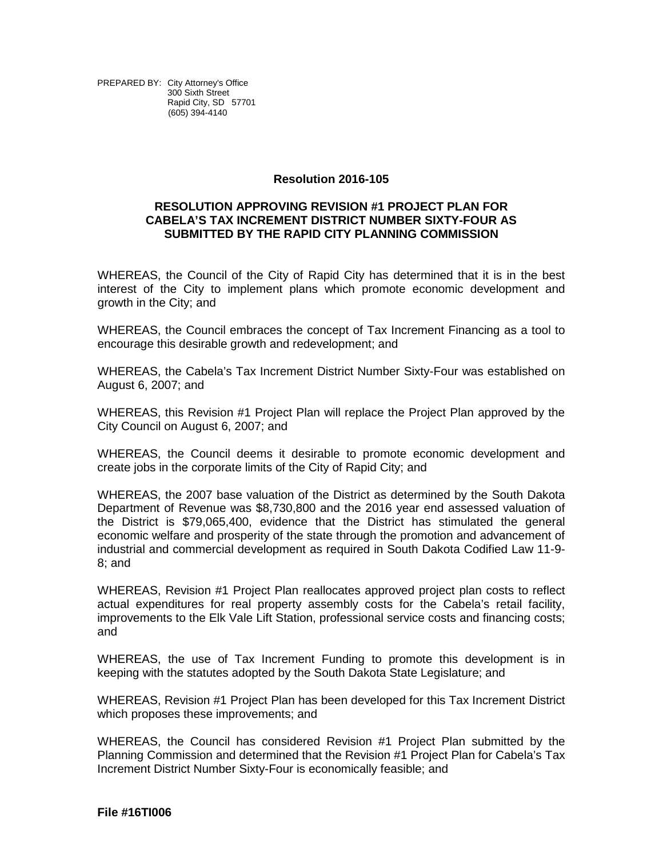PREPARED BY: City Attorney's Office 300 Sixth Street Rapid City, SD 57701 (605) 394-4140

## **Resolution 2016-105**

## **RESOLUTION APPROVING REVISION #1 PROJECT PLAN FOR CABELA'S TAX INCREMENT DISTRICT NUMBER SIXTY-FOUR AS SUBMITTED BY THE RAPID CITY PLANNING COMMISSION**

WHEREAS, the Council of the City of Rapid City has determined that it is in the best interest of the City to implement plans which promote economic development and growth in the City; and

WHEREAS, the Council embraces the concept of Tax Increment Financing as a tool to encourage this desirable growth and redevelopment; and

WHEREAS, the Cabela's Tax Increment District Number Sixty-Four was established on August 6, 2007; and

WHEREAS, this Revision #1 Project Plan will replace the Project Plan approved by the City Council on August 6, 2007; and

WHEREAS, the Council deems it desirable to promote economic development and create jobs in the corporate limits of the City of Rapid City; and

WHEREAS, the 2007 base valuation of the District as determined by the South Dakota Department of Revenue was \$8,730,800 and the 2016 year end assessed valuation of the District is \$79,065,400, evidence that the District has stimulated the general economic welfare and prosperity of the state through the promotion and advancement of industrial and commercial development as required in South Dakota Codified Law 11-9- 8; and

WHEREAS, Revision #1 Project Plan reallocates approved project plan costs to reflect actual expenditures for real property assembly costs for the Cabela's retail facility, improvements to the Elk Vale Lift Station, professional service costs and financing costs; and

WHEREAS, the use of Tax Increment Funding to promote this development is in keeping with the statutes adopted by the South Dakota State Legislature; and

WHEREAS, Revision #1 Project Plan has been developed for this Tax Increment District which proposes these improvements; and

WHEREAS, the Council has considered Revision #1 Project Plan submitted by the Planning Commission and determined that the Revision #1 Project Plan for Cabela's Tax Increment District Number Sixty-Four is economically feasible; and

**File #16TI006**